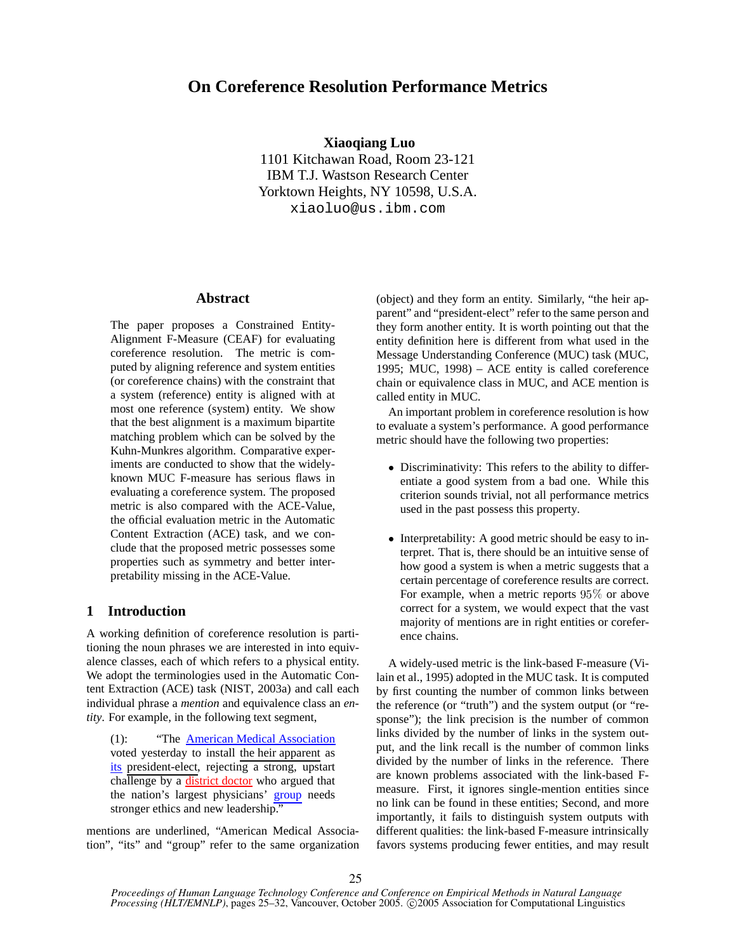# **On Coreference Resolution Performance Metrics**

**Xiaoqiang Luo** 1101 Kitchawan Road, Room 23-121 IBM T.J. Wastson Research Center Yorktown Heights, NY 10598, U.S.A. xiaoluo@us.ibm.com

# **Abstract**

The paper proposes a Constrained Entity-Alignment F-Measure (CEAF) for evaluating coreference resolution. The metric is computed by aligning reference and system entities (or coreference chains) with the constraint that a system (reference) entity is aligned with at most one reference (system) entity. We show that the best alignment is a maximum bipartite matching problem which can be solved by the Kuhn-Munkres algorithm. Comparative experiments are conducted to show that the widelyknown MUC F-measure has serious flaws in evaluating a coreference system. The proposed metric is also compared with the ACE-Value, the official evaluation metric in the Automatic Content Extraction (ACE) task, and we conclude that the proposed metric possesses some properties such as symmetry and better interpretability missing in the ACE-Value.

# **1 Introduction**

A working definition of coreference resolution is partitioning the noun phrases we are interested in into equivalence classes, each of which refers to a physical entity. We adopt the terminologies used in the Automatic Content Extraction (ACE) task (NIST, 2003a) and call each individual phrase a *mention* and equivalence class an *entity*. For example, in the following text segment,

(1): "The American Medical Association voted yesterday to install the heir apparent as its president-elect, rejecting a strong, upstart challenge by a district doctor who argued that the nation's largest physicians' group needs stronger ethics and new leadership."

mentions are underlined, "American Medical Association", "its" and "group" refer to the same organization (object) and they form an entity. Similarly, "the heir apparent" and "president-elect" refer to the same person and they form another entity. It is worth pointing out that the entity definition here is different from what used in the Message Understanding Conference (MUC) task (MUC, 1995; MUC, 1998) – ACE entity is called coreference chain or equivalence class in MUC, and ACE mention is called entity in MUC.

An important problem in coreference resolution is how to evaluate a system's performance. A good performance metric should have the following two properties:

- Discriminativity: This refers to the ability to differentiate a good system from a bad one. While this criterion sounds trivial, not all performance metrics used in the past possess this property.
- Interpretability: A good metric should be easy to interpret. That is, there should be an intuitive sense of how good a system is when a metric suggests that a certain percentage of coreference results are correct. For example, when a metric reports  $95\%$  or above correct for a system, we would expect that the vast majority of mentions are in right entities or coreference chains.

A widely-used metric is the link-based F-measure (Vilain et al., 1995) adopted in the MUC task. It is computed by first counting the number of common links between the reference (or "truth") and the system output (or "response"); the link precision is the number of common links divided by the number of links in the system output, and the link recall is the number of common links divided by the number of links in the reference. There are known problems associated with the link-based Fmeasure. First, it ignores single-mention entities since no link can be found in these entities; Second, and more importantly, it fails to distinguish system outputs with different qualities: the link-based F-measure intrinsically favors systems producing fewer entities, and may result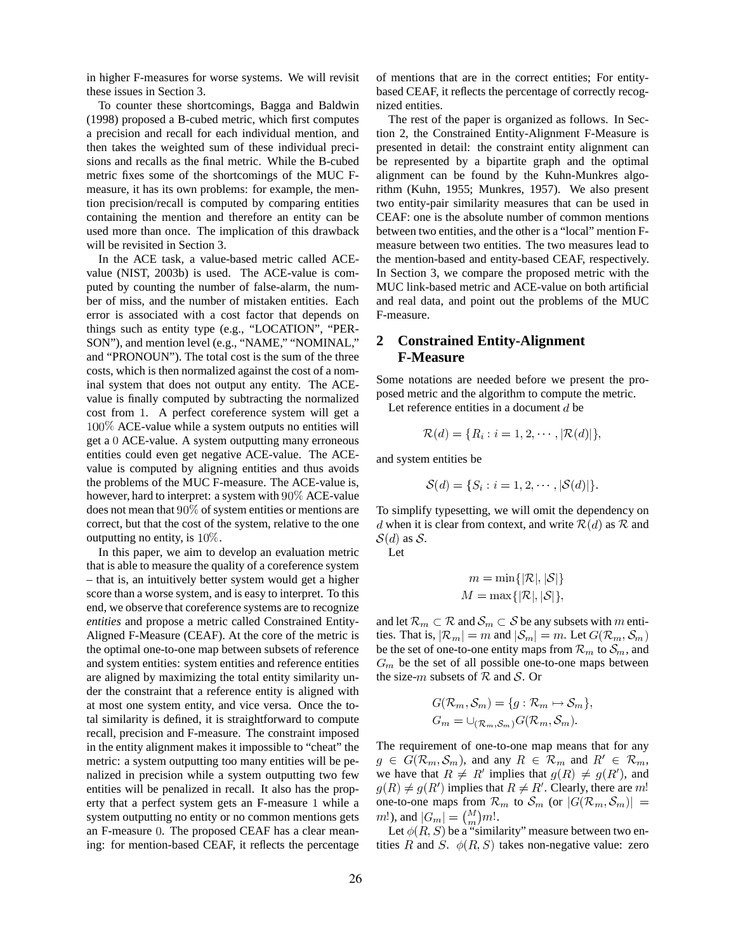in higher F-measures for worse systems. We will revisit these issues in Section 3.

To counter these shortcomings, Bagga and Baldwin (1998) proposed a B-cubed metric, which first computes a precision and recall for each individual mention, and then takes the weighted sum of these individual precisions and recalls as the final metric. While the B-cubed metric fixes some of the shortcomings of the MUC Fmeasure, it has its own problems: for example, the mention precision/recall is computed by comparing entities containing the mention and therefore an entity can be used more than once. The implication of this drawback will be revisited in Section 3.

In the ACE task, a value-based metric called ACEvalue (NIST, 2003b) is used. The ACE-value is computed by counting the number of false-alarm, the number of miss, and the number of mistaken entities. Each error is associated with a cost factor that depends on things such as entity type (e.g., "LOCATION", "PER-SON"), and mention level (e.g., "NAME," "NOMINAL," and "PRONOUN"). The total cost is the sum of the three costs, which is then normalized against the cost of a nominal system that does not output any entity. The ACEvalue is finally computed by subtracting the normalized cost from 1. A perfect coreference system will get a  $100\%$  ACE-value while a system outputs no entities will get a  $0$  ACE-value. A system outputting many erroneous entities could even get negative ACE-value. The ACEvalue is computed by aligning entities and thus avoids the problems of the MUC F-measure. The ACE-value is, however, hard to interpret: a system with ACE-value does not mean that  $90\%$  of system entities or mentions are correct, but that the cost of the system, relative to the one outputting no entity, is  $10\%$ .

In this paper, we aim to develop an evaluation metric that is able to measure the quality of a coreference system – that is, an intuitively better system would get a higher score than a worse system, and is easy to interpret. To this end, we observe that coreference systems are to recognize *entities* and propose a metric called Constrained Entity-Aligned F-Measure (CEAF). At the core of the metric is the optimal one-to-one map between subsets of reference and system entities: system entities and reference entities are aligned by maximizing the total entity similarity under the constraint that a reference entity is aligned with at most one system entity, and vice versa. Once the total similarity is defined, it is straightforward to compute recall, precision and F-measure. The constraint imposed in the entity alignment makes it impossible to "cheat" the metric: a system outputting too many entities will be penalized in precision while a system outputting two few entities will be penalized in recall. It also has the property that a perfect system gets an  $F$ -measure 1 while a system outputting no entity or no common mentions gets an F-measure 0. The proposed CEAF has a clear meaning: for mention-based CEAF, it reflects the percentage of mentions that are in the correct entities; For entitybased CEAF, it reflects the percentage of correctly recognized entities.

The rest of the paper is organized as follows. In Section 2, the Constrained Entity-Alignment F-Measure is presented in detail: the constraint entity alignment can be represented by a bipartite graph and the optimal alignment can be found by the Kuhn-Munkres algorithm (Kuhn, 1955; Munkres, 1957). We also present two entity-pair similarity measures that can be used in CEAF: one is the absolute number of common mentions between two entities, and the other is a "local" mention Fmeasure between two entities. The two measures lead to the mention-based and entity-based CEAF, respectively. In Section 3, we compare the proposed metric with the MUC link-based metric and ACE-value on both artificial and real data, and point out the problems of the MUC F-measure.

# **2 Constrained Entity-Alignment F-Measure**

Some notations are needed before we present the proposed metric and the algorithm to compute the metric.

Let reference entities in a document  $d$  be

$$
\mathcal{R}(d) = \{R_i : i = 1, 2, \cdots, |\mathcal{R}(d)|\},\
$$

and system entities be

$$
\mathcal{S}(d) = \{S_i : i = 1, 2, \cdots, |\mathcal{S}(d)|\}.
$$

To simplify typesetting, we will omit the dependency on d when it is clear from context, and write  $\mathcal{R}(d)$  as  $\mathcal R$  and  $S(d)$  as S.

Let

$$
m = \min\{|\mathcal{R}|, |\mathcal{S}|\}
$$
  

$$
M = \max\{|\mathcal{R}|, |\mathcal{S}|\},
$$

and let  $\mathcal{R}_m\subset \mathcal{R}$  and  $\mathcal{S}_m\subset \mathcal{S}$  be any subsets with  $m$  entities. That is,  $|\mathcal{R}_m| = m$  and  $|\mathcal{S}_m| = m$ . Let  $G(\mathcal{R}_m, \mathcal{S}_m)$ be the set of one-to-one entity maps from  $\mathcal{R}_m$  to  $\mathcal{S}_m$ , and  $G_m$  be the set of all possible one-to-one maps between the size-*m* subsets of  $R$  and  $S$ . Or

$$
G(\mathcal{R}_m, \mathcal{S}_m) = \{g : \mathcal{R}_m \mapsto \mathcal{S}_m\},
$$
  

$$
G_m = \cup_{(\mathcal{R}_m, \mathcal{S}_m)} G(\mathcal{R}_m, \mathcal{S}_m).
$$

The requirement of one-to-one map means that for any  $g \in G(\mathcal{R}_m, \mathcal{S}_m)$ , and any  $R \in \mathcal{R}_m$  and  $R' \in \mathcal{R}_m$ , we have that  $R \neq R'$  implies that  $g(R) \neq g(R')$ , and  $g(R) \neq g(R')$  implies that  $R \neq R'$ . Clearly, there are m! one-to-one maps from  $\mathcal{R}_m$  to  $\mathcal{S}_m$  (or  $|G(\mathcal{R}_m, \mathcal{S}_m)| =$  $[m!]$ , and  $|G_m| = {M \choose m}m!$ .

Let  $\phi(R, S)$  be a "similarity" measure between two entities R and S.  $\phi(R, S)$  takes non-negative value: zero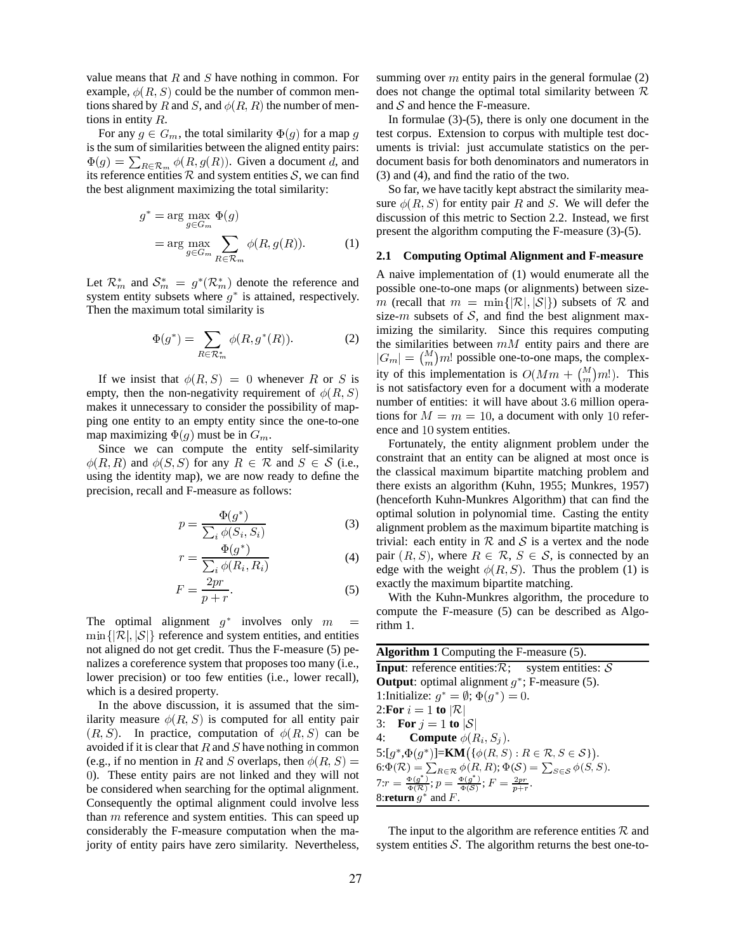value means that  $R$  and  $S$  have nothing in common. For example,  $\phi(R, S)$  could be the number of common mentions shared by R and S, and  $\phi(R, R)$  the number of mentions in entity *.* 

For any  $g \in G_m$ , the total similarity  $\Phi(g)$  for a map g test cor is the sum of similarities between the aligned entity pairs:  $\Phi(g) = \sum_{R \in \mathcal{R}} \phi(R, g(R))$ . Given a document d, and its reference entities R and system entities S, we can find the best alignment maximizing the total similarity:

$$
g^* = \arg\max_{g \in G_m} \Phi(g)
$$
  
= 
$$
\arg\max_{g \in G_m} \sum_{R \in \mathcal{R}_m} \phi(R, g(R)).
$$
 (1)

Let  $\mathcal{R}_m^*$  and  $\mathcal{S}_m^* = g^*(\mathcal{R}_m^*)$  denote the reference and system entity subsets where  $g^*$  is attained, respectively. Then the maximum total similarity is

$$
\Phi(g^*) = \sum_{R \in \mathcal{R}_m^*} \phi(R, g^*(R)). \tag{2}
$$

If we insist that  $\phi(R, S) = 0$  whenever R or S is  $\frac{1}{2}$  is  $\frac{1}{2}$ empty, then the non-negativity requirement of  $\phi(R, S)$ <sup>18</sup> makes it unnecessary to consider the possibility of mapping one entity to an empty entity since the one-to-one map maximizing  $\Phi(g)$  must be in  $G_m$ .

Since we can compute the entity self-similarity  $\phi(R, R)$  and  $\phi(S, S)$  for any  $R \in \mathcal{R}$  and  $S \in \mathcal{S}$  (i.e., consumer using the identity map), we are now ready to define the precision, recall and F-measure as follows:

$$
p = \frac{\Phi(g^*)}{\sum_i \phi(S_i, S_i)}\tag{3}
$$

$$
r = \frac{\Phi(g^*)}{\sum_i \phi(R_i, R_i)}\tag{4}
$$

$$
F = \frac{2pr}{p+r}.\tag{5}
$$

The optimal alignment  $g^*$  involves only  $m$  $\min\{|\mathcal{R}|,|\mathcal{S}|\}\$  reference and system entities, and entities not aligned do not get credit. Thus the F-measure (5) penalizes a coreference system that proposes too many (i.e., lower precision) or too few entities (i.e., lower recall), which is a desired property.

In the above discussion, it is assumed that the similarity measure  $\phi(R, S)$  is computed for all entity pair  $(R, S)$ . In practice, computation of  $\phi(R, S)$  can be avoided if it is clear that  $R$  and  $S$  have nothing in common (e.g., if no mention in R and S overlaps, then  $\phi(R, S) = \int_{S(\Phi)}^{S(\cdot)} \phi(R, S)$ ). These entity pairs are not linked and they will not be considered when searching for the optimal alignment. Consequently the optimal alignment could involve less than  $m$  reference and system entities. This can speed up considerably the F-measure computation when the majority of entity pairs have zero similarity. Nevertheless,

summing over  $m$  entity pairs in the general formulae (2) does not change the optimal total similarity between  $\mathcal R$ and  $S$  and hence the F-measure.

In formulae  $(3)-(5)$ , there is only one document in the test corpus. Extension to corpus with multiple test documents is trivial: just accumulate statistics on the perdocument basis for both denominators and numerators in (3) and (4), and find the ratio of the two.

So far, we have tacitly kept abstract the similarity measure  $\phi(R, S)$  for entity pair R and S. We will defer the discussion of this metric to Section 2.2. Instead, we first present the algorithm computing the F-measure (3)-(5).

### **2.1 Computing Optimal Alignment and F-measure**

A naive implementation of (1) would enumerate all the possible one-to-one maps (or alignments) between size m (recall that  $m = \min\{|\mathcal{R}|, |\mathcal{S}|\}$ ) subsets of  $\mathcal R$  and size- $m$  subsets of  $S$ , and find the best alignment maximizing the similarity. Since this requires computing the similarities between  $mM$  entity pairs and there are  $|G_m| = {M \choose m}m!$  possible one-to-one maps, the complexity of this implementation is  $O(Mm + \binom{M}{m}m!)$ . This is not satisfactory even for a document with a moderate number of entities: it will have about 3.6 million operations for  $M = m = 10$ , a document with only 10 reference and 10 system entities.

Fortunately, the entity alignment problem under the constraint that an entity can be aligned at most once is the classical maximum bipartite matching problem and there exists an algorithm (Kuhn, 1955; Munkres, 1957) (henceforth Kuhn-Munkres Algorithm) that can find the optimal solution in polynomial time. Casting the entity alignment problem as the maximum bipartite matching is trivial: each entity in  $R$  and  $S$  is a vertex and the node pair  $(R, S)$ , where  $R \in \mathcal{R}, S \in \mathcal{S}$ , is connected by an edge with the weight  $\phi(R, S)$ . Thus the problem (1) is exactly the maximum bipartite matching.

 $=$  rithm 1. With the Kuhn-Munkres algorithm, the procedure to compute the F-measure (5) can be described as Algo-

| <b>Algorithm 1</b> Computing the F-measure $(5)$ .                                                                    |
|-----------------------------------------------------------------------------------------------------------------------|
| <b>Input:</b> reference entities: $\mathcal{R}$ ; system entities: $\mathcal{S}$                                      |
| <b>Output</b> : optimal alignment $g^*$ ; F-measure (5).                                                              |
| 1:Initialize: $g^* = \emptyset$ ; $\Phi(g^*) = 0$ .                                                                   |
| 2: For $i = 1$ to $ \mathcal{R} $                                                                                     |
| 3: For $j = 1$ to $ S $                                                                                               |
| 4: <b>Compute</b> $\phi(R_i, S_i)$ .                                                                                  |
| 5: $[g^*, \Phi(g^*)]$ =KM({ $\phi(R, S) : R \in \mathcal{R}, S \in \mathcal{S}$ }).                                   |
| $6:\Phi(\mathcal{R}) = \sum_{R \in \mathcal{R}} \phi(R, R); \Phi(\mathcal{S}) = \sum_{S \in \mathcal{S}} \phi(S, S).$ |
| $7:r = \frac{\Phi(g^*)}{\Phi(\mathcal{R})}; p = \frac{\Phi(g^*)}{\Phi(\mathcal{S})}; F = \frac{2pr}{p+r}.$            |
| 8:return $q^*$ and F.                                                                                                 |

The input to the algorithm are reference entities  $R$  and system entities  $S$ . The algorithm returns the best one-to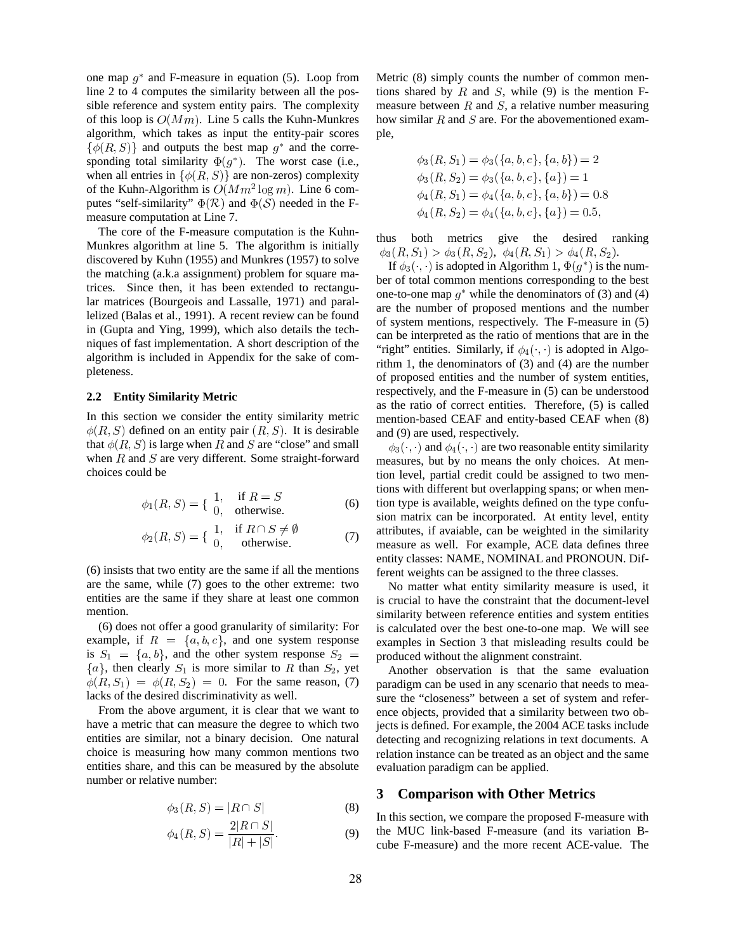one map  $g^*$  and F-measure in equation (5). Loop from line 2 to 4 computes the similarity between all the possible reference and system entity pairs. The complexity of this loop is  $O(Mm)$ . Line 5 calls the Kuhn-Munkres algorithm, which takes as input the entity-pair scores  $\{\phi(R, S)\}\$ and outputs the best map  $g^*$  and the corresponding total similarity  $\Phi(g^*)$ . The worst case (i.e., when all entries in  $\{\phi(R, S)\}\$ are non-zeros) complexity of the Kuhn-Algorithm is  $O(Mm^2 \log m)$ . Line 6 computes "self-similarity"  $\Phi(\mathcal{R})$  and  $\Phi(\mathcal{S})$  needed in the Fmeasure computation at Line 7.

The core of the F-measure computation is the Kuhn-Munkres algorithm at line 5. The algorithm is initially discovered by Kuhn (1955) and Munkres (1957) to solve the matching (a.k.a assignment) problem for square matrices. Since then, it has been extended to rectangular matrices (Bourgeois and Lassalle, 1971) and parallelized (Balas et al., 1991). A recent review can be found in (Gupta and Ying, 1999), which also details the techniques of fast implementation. A short description of the algorithm is included in Appendix for the sake of completeness.

### **2.2 Entity Similarity Metric**

In this section we consider the entity similarity metric  $\phi(R, S)$  defined on an entity pair  $(R, S)$ . It is desirable that  $\phi(R, S)$  is large when R and S are "close" and small when  $R$  and  $S$  are very different. Some straight-forward choices could be

$$
\phi_1(R, S) = \begin{cases} 1, & \text{if } R = S \\ 0, & \text{otherwise.} \end{cases}
$$
 (6)

$$
\phi_2(R, S) = \left\{ \begin{array}{ll} 1, & \text{if } R \cap S \neq \emptyset \\ 0, & \text{otherwise.} \end{array} \right. \tag{7}
$$

(6) insists that two entity are the same if all the mentions are the same, while (7) goes to the other extreme: two entities are the same if they share at least one common mention.

(6) does not offer a good granularity of similarity: For example, if  $R = \{a, b, c\}$ , and one system response is  $S_1 = \{a, b\}$ , and the other system response  $S_2$  ${a}$ , then clearly  $S_1$  is more similar to R than  $S_2$ , yet  $\phi(R, S_1) = \phi(R, S_2) = 0$ . For the same reason, (7) lacks of the desired discriminativity as well.

From the above argument, it is clear that we want to have a metric that can measure the degree to which two entities are similar, not a binary decision. One natural choice is measuring how many common mentions two entities share, and this can be measured by the absolute number or relative number:

$$
\phi_3(R, S) = |R \cap S| \tag{8}
$$

$$
\phi_4(R, S) = \frac{2|R \cap S|}{|R| + |S|}.
$$
 (9)

Metric (8) simply counts the number of common mentions shared by  $R$  and  $S$ , while (9) is the mention Fmeasure between  $R$  and  $S$ , a relative number measuring how similar  $R$  and  $S$  are. For the abovementioned example,

$$
\phi_3(R, S_1) = \phi_3(\{a, b, c\}, \{a, b\}) = 2
$$
  
\n
$$
\phi_3(R, S_2) = \phi_3(\{a, b, c\}, \{a\}) = 1
$$
  
\n
$$
\phi_4(R, S_1) = \phi_4(\{a, b, c\}, \{a, b\}) = 0.8
$$
  
\n
$$
\phi_4(R, S_2) = \phi_4(\{a, b, c\}, \{a\}) = 0.5,
$$

thus both metrics give the desired ranking  $\phi_3(R,S_1) > \phi_3(R,S_2), \ \phi_4(R,S_1) > \phi_4(R,S_2).$ 

If  $\phi_3(\cdot, \cdot)$  is adopted in Algorithm 1,  $\Phi(g^*)$  is the number of total common mentions corresponding to the best one-to-one map  $g^*$  while the denominators of (3) and (4) are the number of proposed mentions and the number of system mentions, respectively. The F-measure in (5) can be interpreted as the ratio of mentions that are in the "right" entities. Similarly, if  $\phi_4(\cdot, \cdot)$  is adopted in Algorithm 1, the denominators of (3) and (4) are the number of proposed entities and the number of system entities, respectively, and the F-measure in (5) can be understood as the ratio of correct entities. Therefore, (5) is called mention-based CEAF and entity-based CEAF when (8) and (9) are used, respectively.

 $\phi_3(\cdot, \cdot)$  and  $\phi_4(\cdot, \cdot)$  are two reasonable entity similarity measures, but by no means the only choices. At mention level, partial credit could be assigned to two mentions with different but overlapping spans; or when mention type is available, weights defined on the type confusion matrix can be incorporated. At entity level, entity attributes, if avaiable, can be weighted in the similarity measure as well. For example, ACE data defines three entity classes: NAME, NOMINAL and PRONOUN. Different weights can be assigned to the three classes.

No matter what entity similarity measure is used, it is crucial to have the constraint that the document-level similarity between reference entities and system entities is calculated over the best one-to-one map. We will see examples in Section 3 that misleading results could be produced without the alignment constraint.

Another observation is that the same evaluation paradigm can be used in any scenario that needs to measure the "closeness" between a set of system and reference objects, provided that a similarity between two objects is defined. For example, the 2004 ACE tasks include detecting and recognizing relations in text documents. A relation instance can be treated as an object and the same evaluation paradigm can be applied.

### **3 Comparison with Other Metrics**

In this section, we compare the proposed F-measure with the MUC link-based F-measure (and its variation Bcube F-measure) and the more recent ACE-value. The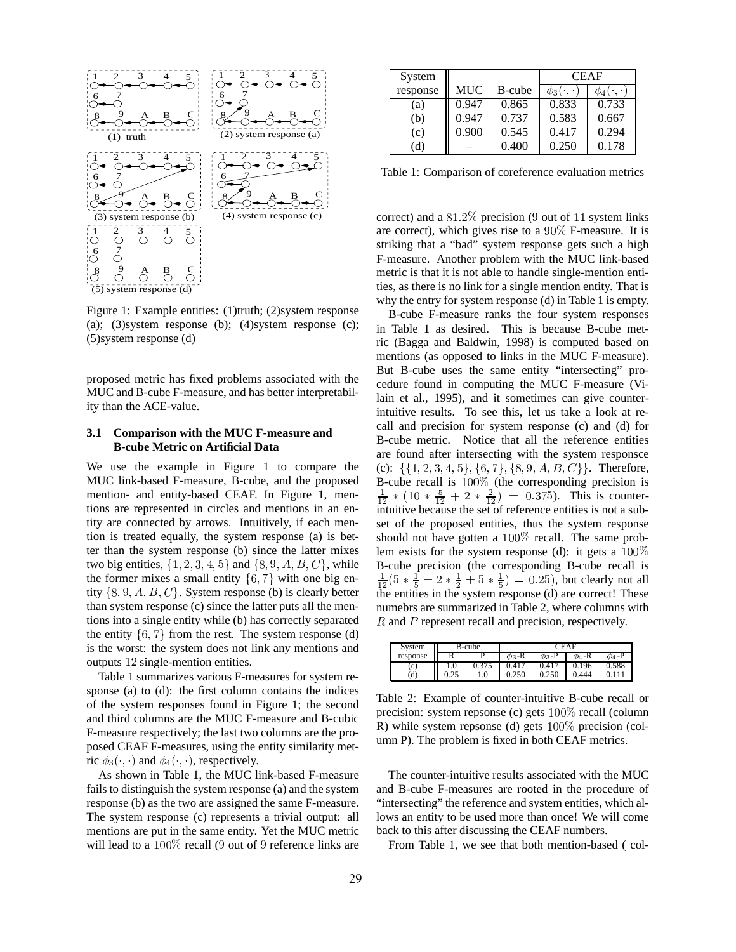

Figure 1: Example entities: (1)truth; (2)system response (a); (3) system response (b); (4) system response (c);  $(5)$ system response  $(d)$ 

proposed metric has fixed problems associated with the MUC and B-cube F-measure, and has better interpretability than the ACE-value.

#### **3.1** Comparison with the MUC F-measure and **B-cube Metric on Artificial Data**

We use the example in Figure 1 to compare the MUC link-based F-measure, B-cube, and the proposed mention- and entity-based CEAF. In Figure 1, mentions are represented in circles and mentions in an entity are connected by arrows. Intuitively, if each mention is treated equally, the system response (a) is better than the system response (b) since the latter mixes two big entities,  $\{1, 2, 3, 4, 5\}$  and  $\{8, 9, A, B, C\}$ , while the former mixes a small entity  $\{6, 7\}$  with one big entity  $\{8, 9, A, B, C\}$ . System response (b) is clearly better than system response (c) since the latter puts all the mentions into a single entity while (b) has correctly separated the entity  $\{6, 7\}$  from the rest. The system response (d) is the worst: the system does not link any mentions and outputs 12 single-mention entities.

Table 1 summarizes various F-measures for system response (a) to (d): the first column contains the indices of the system responses found in Figure 1; the second and third columns are the MUC F-measure and B-cubic F-measure respectively; the last two columns are the proposed CEAF F-measures, using the entity similarity metric  $\phi_3(\cdot, \cdot)$  and  $\phi_4(\cdot, \cdot)$ , respectively.

As shown in Table 1, the MUC link-based F-measure fails to distinguish the system response (a) and the system response (b) as the two are assigned the same F-measure. The system response (c) represents a trivial output: all mentions are put in the same entity. Yet the MUC metric will lead to a  $100\%$  recall (9 out of 9 reference links are

| System   |            |        | <b>CEAF</b> |               |  |
|----------|------------|--------|-------------|---------------|--|
| response | <b>MUC</b> | B-cube | $\varphi_3$ | $\varphi_4$ ( |  |
| (a)      | 0.947      | 0.865  | 0.833       | 0.733         |  |
| (b)      | 0.947      | 0.737  | 0.583       | 0.667         |  |
| (c)      | 0.900      | 0.545  | 0.417       | 0.294         |  |
| (d)      |            | 0.400  | 0.250       | 0.178         |  |

Table 1: Comparison of coreference evaluation metrics

correct) and a  $81.2\%$  precision (9 out of 11 system links are correct), which gives rise to a  $90\%$  F-measure. It is striking that a "bad" system response gets such a high F-measure. Another problem with the MUC link-based metric is that it is not able to handle single-mention entities, as there is no link for a single mention entity. That is why the entry for system response (d) in Table 1 is empty.

B-cube F-measure ranks the four system responses in Table 1 as desired. This is because B-cube metric (Bagga and Baldwin, 1998) is computed based on mentions (as opposed to links in the MUC F-measure). But B-cube uses the same entity "intersecting" procedure found in computing the MUC F-measure (Vilain et al., 1995), and it sometimes can give counterintuitive results. To see this, let us take a look at recall and precision for system response (c) and (d) for B-cube metric. Notice that all the reference entities are found after intersecting with the system responsce (c):  $\{\{1, 2, 3, 4, 5\}, \{6, 7\}, \{8, 9, A, B, C\}\}\$ . Therefore, B-cube recall is  $100\%$  (the corresponding precision is  $\frac{1}{12}$  \* (10 \*  $\frac{5}{12}$  + 2 \*  $\frac{2}{12}$ ) = 0.375). This is counterintuitive because the set of reference entities is not a subset of the proposed entities, thus the system response should not have gotten a  $100\%$  recall. The same problem exists for the system response (d): it gets a  $100\%$ B-cube precision (the corresponding B-cube recall is  $\frac{1}{12}(5*\frac{1}{5}+2*\frac{1}{2}+5*\frac{1}{5})=0.25$ , but clearly not all the entities in the system response (d) are correct! These numebrs are summarized in Table 2, where columns with  $R$  and  $P$  represent recall and precision, respectively.

| System   | B-cube |       | ^F A F      |             |             |             |
|----------|--------|-------|-------------|-------------|-------------|-------------|
| response |        |       | $\phi_3$ -R | $\phi_3$ -P | $\phi_4$ -R | $\phi_4$ -P |
| (c)      | 1.0    | 0.375 | 0.417       | 0.417       | 0.196       | 0.588       |
| (d)      | 0.25   | 1.0   | 0.250       | 0.250       | 0.444       |             |

Table 2: Example of counter-intuitive B-cube recall or precision: system repsonse (c) gets  $100\%$  recall (column R) while system repsonse (d) gets  $100\%$  precision (column P). The problem is fixed in both CEAF metrics.

The counter-intuitive results associated with the MUC and B-cube F-measures are rooted in the procedure of "intersecting" the reference and system entities, which allows an entity to be used more than once! We will come back to this after discussing the CEAF numbers.

From Table 1, we see that both mention-based (col-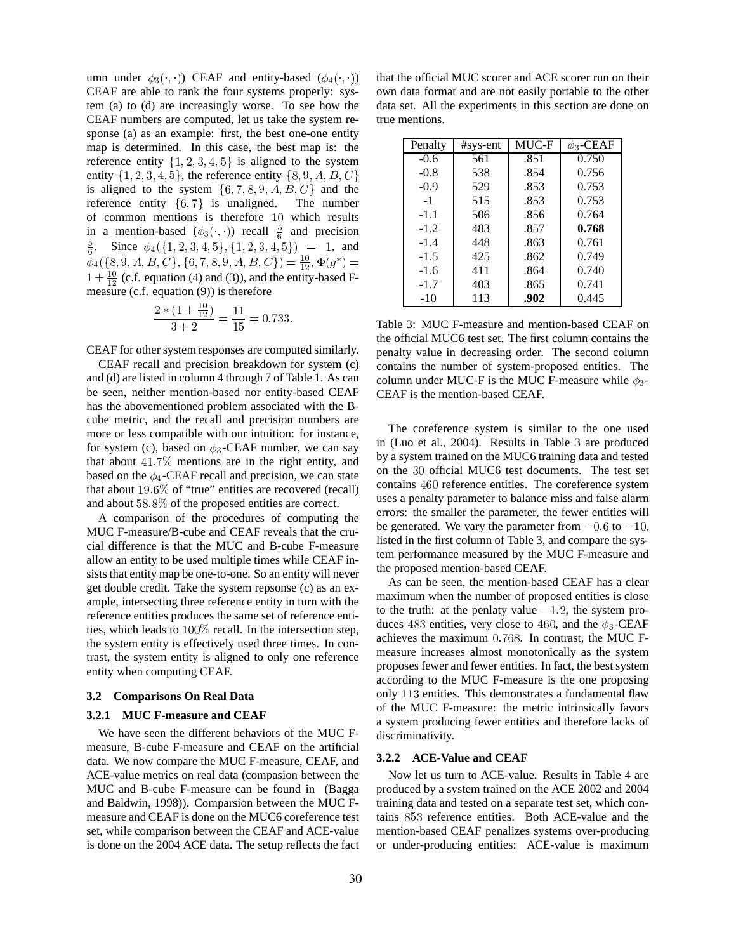umn under  $\phi_3(\cdot, \cdot)$ ) CEAF and entity-based  $(\phi_4(\cdot, \cdot))$ CEAF are able to rank the four systems properly: system (a) to (d) are increasingly worse. To see how the CEAF numbers are computed, let us take the system response (a) as an example: first, the best one-one entity map is determined. In this case, the best map is: the reference entity  $\{1, 2, 3, 4, 5\}$  is aligned to the system entity  $\{1, 2, 3, 4, 5\}$ , the reference entity  $\{8, 9, A, B, C\}$ is aligned to the system  $\{6, 7, 8, 9, A, B, C\}$  and the reference entity  $\{6, 7\}$  is unaligned. The number of common mentions is therefore 10 which results in a mention-based  $(\phi_3(\cdot, \cdot))$  recall  $\frac{5}{6}$  and precision  $\frac{5}{6}$ . Since  $\phi_4({1, 2, 3, 4, 5}, {1, 2, 3, 4, 5}) = 1$ , and  $\phi_4({8, 9, A, B, C}, {6, 7, 8, 9, A, B, C}) = \frac{10}{12}, \Phi(g^*) =$  $1 + \frac{10}{12}$  (c.f. equation (4) and (3)), and the entity-based Fmeasure (c.f. equation  $(9)$ ) is therefore

$$
\frac{2*(1+\frac{10}{12})}{3+2} = \frac{11}{15} = 0.733
$$

CEAF for other system responses are computed similarly.

CEAF recall and precision breakdown for system (c) and (d) are listed in column 4 through 7 of Table 1. As can be seen, neither mention-based nor entity-based CEAF has the abovementioned problem associated with the Bcube metric, and the recall and precision numbers are more or less compatible with our intuition: for instance, for system (c), based on  $\phi_3$ -CEAF number, we can say that about  $41.7\%$  mentions are in the right entity, and based on the  $\phi_4$ -CEAF recall and precision, we can state that about  $19.6\%$  of "true" entities are recovered (recall) and about  $58.8\%$  of the proposed entities are correct.

A comparison of the procedures of computing the MUC F-measure/B-cube and CEAF reveals that the crucial difference is that the MUC and B-cube F-measure allow an entity to be used multiple times while CEAF insists that entity map be one-to-one. So an entity will never get double credit. Take the system repsonse (c) as an example, intersecting three reference entity in turn with the reference entities produces the same set of reference entities, which leads to  $100\%$  recall. In the intersection step, the system entity is effectively used three times. In contrast, the system entity is aligned to only one reference entity when computing CEAF.

#### 3.2 Comparisons On Real Data

#### 3.2.1 MUC F-measure and CEAF

We have seen the different behaviors of the MUC Fmeasure, B-cube F-measure and CEAF on the artificial data. We now compare the MUC F-measure, CEAF, and ACE-value metrics on real data (compasion between the MUC and B-cube F-measure can be found in (Bagga and Baldwin, 1998)). Comparsion between the MUC Fmeasure and CEAF is done on the MUC6 coreference test set, while comparison between the CEAF and ACE-value is done on the 2004 ACE data. The setup reflects the fact

that the official MUC scorer and ACE scorer run on their own data format and are not easily portable to the other data set. All the experiments in this section are done on true mentions.

| Penalty | $#sys-ent$ | MUC-F | $\phi_3$ -CEAF |
|---------|------------|-------|----------------|
| $-0.6$  | 561        | .851  | 0.750          |
| $-0.8$  | 538        | .854  | 0.756          |
| $-0.9$  | 529        | .853  | 0.753          |
| $-1$    | 515        | .853  | 0.753          |
| $-1.1$  | 506        | .856  | 0.764          |
| $-1.2$  | 483        | .857  | 0.768          |
| $-1.4$  | 448        | .863  | 0.761          |
| $-1.5$  | 425        | .862  | 0.749          |
| $-1.6$  | 411        | .864  | 0.740          |
| $-1.7$  | 403        | .865  | 0.741          |
| $-10$   | 113        | .902  | 0.445          |

Table 3: MUC F-measure and mention-based CEAF on the official MUC6 test set. The first column contains the penalty value in decreasing order. The second column contains the number of system-proposed entities. The column under MUC-F is the MUC F-measure while  $\phi_3$ -CEAF is the mention-based CEAF.

The coreference system is similar to the one used in (Luo et al., 2004). Results in Table 3 are produced by a system trained on the MUC6 training data and tested on the 30 official MUC6 test documents. The test set contains 460 reference entities. The coreference system uses a penalty parameter to balance miss and false alarm errors: the smaller the parameter, the fewer entities will be generated. We vary the parameter from  $-0.6$  to  $-10$ , listed in the first column of Table 3, and compare the system performance measured by the MUC F-measure and the proposed mention-based CEAF.

As can be seen, the mention-based CEAF has a clear maximum when the number of proposed entities is close to the truth: at the penlaty value  $-1.2$ , the system produces 483 entities, very close to 460, and the  $\phi_3$ -CEAF achieves the maximum 0.768. In contrast, the MUC Fmeasure increases almost monotonically as the system proposes fewer and fewer entities. In fact, the best system according to the MUC F-measure is the one proposing only 113 entities. This demonstrates a fundamental flaw of the MUC F-measure: the metric intrinsically favors a system producing fewer entities and therefore lacks of discriminativity.

#### 3.2.2 ACE-Value and CEAF

Now let us turn to ACE-value. Results in Table 4 are produced by a system trained on the ACE 2002 and 2004 training data and tested on a separate test set, which contains 853 reference entities. Both ACE-value and the mention-based CEAF penalizes systems over-producing or under-producing entities: ACE-value is maximum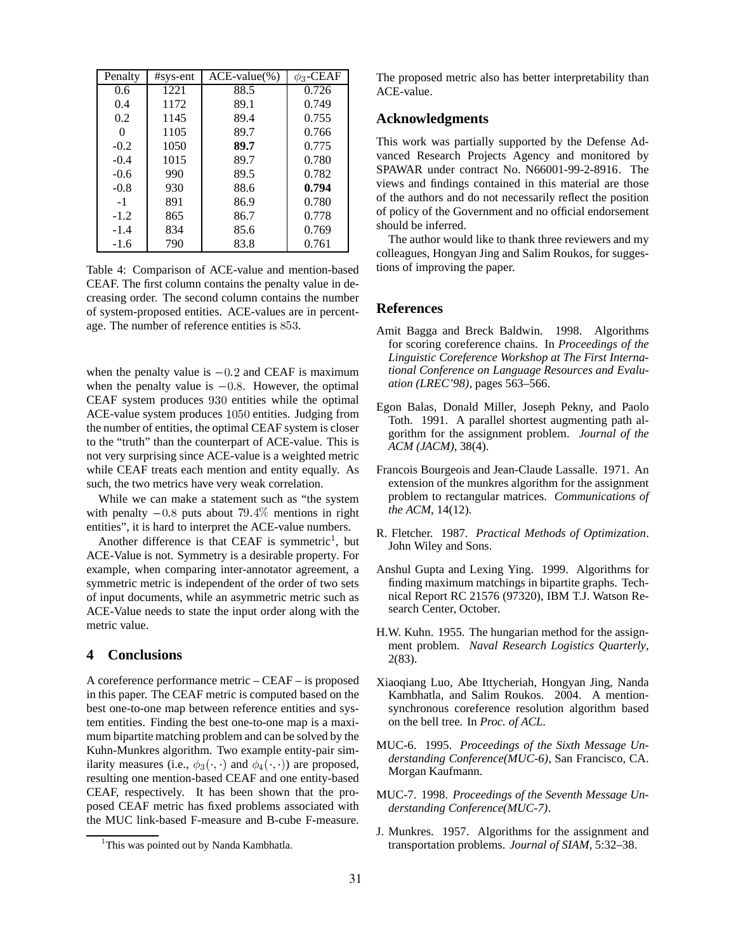| Penalty  | $#sys-ent$ | $ACE-value$ <sup>(%)</sup> | $\phi_3$ -CEAF |
|----------|------------|----------------------------|----------------|
| 0.6      | 1221       | 88.5                       | 0.726          |
| 0.4      | 1172       | 89.1                       | 0.749          |
| 0.2      | 1145       | 89.4                       | 0.755          |
| $\Omega$ | 1105       | 89.7                       | 0.766          |
| $-0.2$   | 1050       | 89.7                       | 0.775          |
| $-0.4$   | 1015       | 89.7                       | 0.780          |
| $-0.6$   | 990        | 89.5                       | 0.782          |
| $-0.8$   | 930        | 88.6                       | 0.794          |
| $-1$     | 891        | 86.9                       | 0.780          |
| $-1.2$   | 865        | 86.7                       | 0.778          |
| $-1.4$   | 834        | 85.6                       | 0.769          |
| $-1.6$   | 790        | 83.8                       | 0.761          |

Table 4: Comparison of ACE-value and mention-based CEAF. The first column contains the penalty value in decreasing order. The second column contains the number of system-proposed entities. ACE-values are in percentage. The number of reference entities is  $853$ .

when the penalty value is  $-0.2$  and CEAF is maximum when the penalty value is  $-0.8$ . However, the optimal CEAF system produces 930 entities while the optimal ACE-value system produces 1050 entities. Judging from the number of entities, the optimal CEAF system is closer to the "truth" than the counterpart of ACE-value. This is not very surprising since ACE-value is a weighted metric while CEAF treats each mention and entity equally. As such, the two metrics have very weak correlation.

While we can make a statement such as "the system with penalty  $-0.8$  puts about  $79.4\%$  mentions in right entities", it is hard to interpret the ACE-value numbers.

Another difference is that CEAF is symmetric<sup>1</sup>, but ACE-Value is not. Symmetry is a desirable property. For example, when comparing inter-annotator agreement, a symmetric metric is independent of the order of two sets of input documents, while an asymmetric metric such as ACE-Value needs to state the input order along with the metric value.

# **4 Conclusions**

A coreference performance metric – CEAF – is proposed in this paper. The CEAF metric is computed based on the best one-to-one map between reference entities and system entities. Finding the best one-to-one map is a maximum bipartite matching problem and can be solved by the Kuhn-Munkres algorithm. Two example entity-pair similarity measures (i.e.,  $\phi_3(\cdot, \cdot)$  and  $\phi_4(\cdot, \cdot)$ ) are proposed, resulting one mention-based CEAF and one entity-based CEAF, respectively. It has been shown that the proposed CEAF metric has fixed problems associated with the MUC link-based F-measure and B-cube F-measure. The proposed metric also has better interpretability than ACE-value.

# **Acknowledgments**

This work was partially supported by the Defense Advanced Research Projects Agency and monitored by SPAWAR under contract No. N66001-99-2-8916. The views and findings contained in this material are those of the authors and do not necessarily reflect the position of policy of the Government and no official endorsement should be inferred.

The author would like to thank three reviewers and my colleagues, Hongyan Jing and Salim Roukos, for suggestions of improving the paper.

### **References**

- Amit Bagga and Breck Baldwin. 1998. Algorithms for scoring coreference chains. In *Proceedings of the Linguistic Coreference Workshop at The First International Conference on Language Resources and Evaluation (LREC'98)*, pages 563–566.
- Egon Balas, Donald Miller, Joseph Pekny, and Paolo Toth. 1991. A parallel shortest augmenting path algorithm for the assignment problem. *Journal of the ACM (JACM)*, 38(4).
- Francois Bourgeois and Jean-Claude Lassalle. 1971. An extension of the munkres algorithm for the assignment problem to rectangular matrices. *Communications of the ACM*, 14(12).
- R. Fletcher. 1987. *Practical Methods of Optimization*. John Wiley and Sons.
- Anshul Gupta and Lexing Ying. 1999. Algorithms for finding maximum matchings in bipartite graphs. Technical Report RC 21576 (97320), IBM T.J. Watson Research Center, October.
- H.W. Kuhn. 1955. The hungarian method for the assignment problem. *Naval Research Logistics Quarterly*, 2(83).
- Xiaoqiang Luo, Abe Ittycheriah, Hongyan Jing, Nanda Kambhatla, and Salim Roukos. 2004. A mentionsynchronous coreference resolution algorithm based on the bell tree. In *Proc. of ACL*.
- MUC-6. 1995. *Proceedings of the Sixth Message Understanding Conference(MUC-6)*, San Francisco, CA. Morgan Kaufmann.
- MUC-7. 1998. *Proceedings of the Seventh Message Understanding Conference(MUC-7)*.
- J. Munkres. 1957. Algorithms for the assignment and transportation problems. *Journal of SIAM*, 5:32–38.

<sup>&</sup>lt;sup>1</sup>This was pointed out by Nanda Kambhatla.